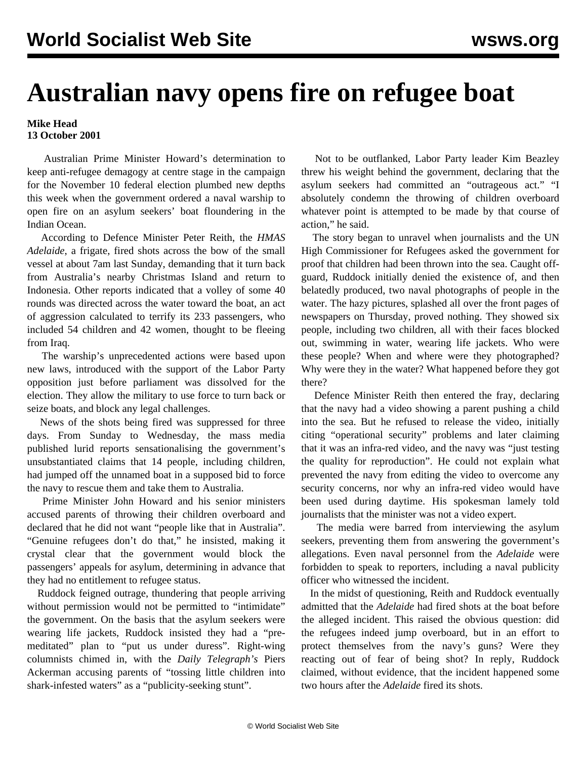## **Australian navy opens fire on refugee boat**

## **Mike Head 13 October 2001**

 Australian Prime Minister Howard's determination to keep anti-refugee demagogy at centre stage in the campaign for the November 10 federal election plumbed new depths this week when the government ordered a naval warship to open fire on an asylum seekers' boat floundering in the Indian Ocean.

 According to Defence Minister Peter Reith, the *HMAS Adelaide*, a frigate, fired shots across the bow of the small vessel at about 7am last Sunday, demanding that it turn back from Australia's nearby Christmas Island and return to Indonesia. Other reports indicated that a volley of some 40 rounds was directed across the water toward the boat, an act of aggression calculated to terrify its 233 passengers, who included 54 children and 42 women, thought to be fleeing from Iraq.

 The warship's unprecedented actions were based upon new laws, introduced with the support of the Labor Party opposition just before parliament was dissolved for the election. They allow the military to use force to turn back or seize boats, and block any legal challenges.

 News of the shots being fired was suppressed for three days. From Sunday to Wednesday, the mass media published lurid reports sensationalising the government's unsubstantiated claims that 14 people, including children, had jumped off the unnamed boat in a supposed bid to force the navy to rescue them and take them to Australia.

 Prime Minister John Howard and his senior ministers accused parents of throwing their children overboard and declared that he did not want "people like that in Australia". "Genuine refugees don't do that," he insisted, making it crystal clear that the government would block the passengers' appeals for asylum, determining in advance that they had no entitlement to refugee status.

 Ruddock feigned outrage, thundering that people arriving without permission would not be permitted to "intimidate" the government. On the basis that the asylum seekers were wearing life jackets, Ruddock insisted they had a "premeditated" plan to "put us under duress". Right-wing columnists chimed in, with the *Daily Telegraph's* Piers Ackerman accusing parents of "tossing little children into shark-infested waters" as a "publicity-seeking stunt".

 Not to be outflanked, Labor Party leader Kim Beazley threw his weight behind the government, declaring that the asylum seekers had committed an "outrageous act." "I absolutely condemn the throwing of children overboard whatever point is attempted to be made by that course of action," he said.

 The story began to unravel when journalists and the UN High Commissioner for Refugees asked the government for proof that children had been thrown into the sea. Caught offguard, Ruddock initially denied the existence of, and then belatedly produced, two naval photographs of people in the water. The hazy pictures, splashed all over the front pages of newspapers on Thursday, proved nothing. They showed six people, including two children, all with their faces blocked out, swimming in water, wearing life jackets. Who were these people? When and where were they photographed? Why were they in the water? What happened before they got there?

 Defence Minister Reith then entered the fray, declaring that the navy had a video showing a parent pushing a child into the sea. But he refused to release the video, initially citing "operational security" problems and later claiming that it was an infra-red video, and the navy was "just testing the quality for reproduction". He could not explain what prevented the navy from editing the video to overcome any security concerns, nor why an infra-red video would have been used during daytime. His spokesman lamely told journalists that the minister was not a video expert.

 The media were barred from interviewing the asylum seekers, preventing them from answering the government's allegations. Even naval personnel from the *Adelaide* were forbidden to speak to reporters, including a naval publicity officer who witnessed the incident.

 In the midst of questioning, Reith and Ruddock eventually admitted that the *Adelaide* had fired shots at the boat before the alleged incident. This raised the obvious question: did the refugees indeed jump overboard, but in an effort to protect themselves from the navy's guns? Were they reacting out of fear of being shot? In reply, Ruddock claimed, without evidence, that the incident happened some two hours after the *Adelaide* fired its shots.